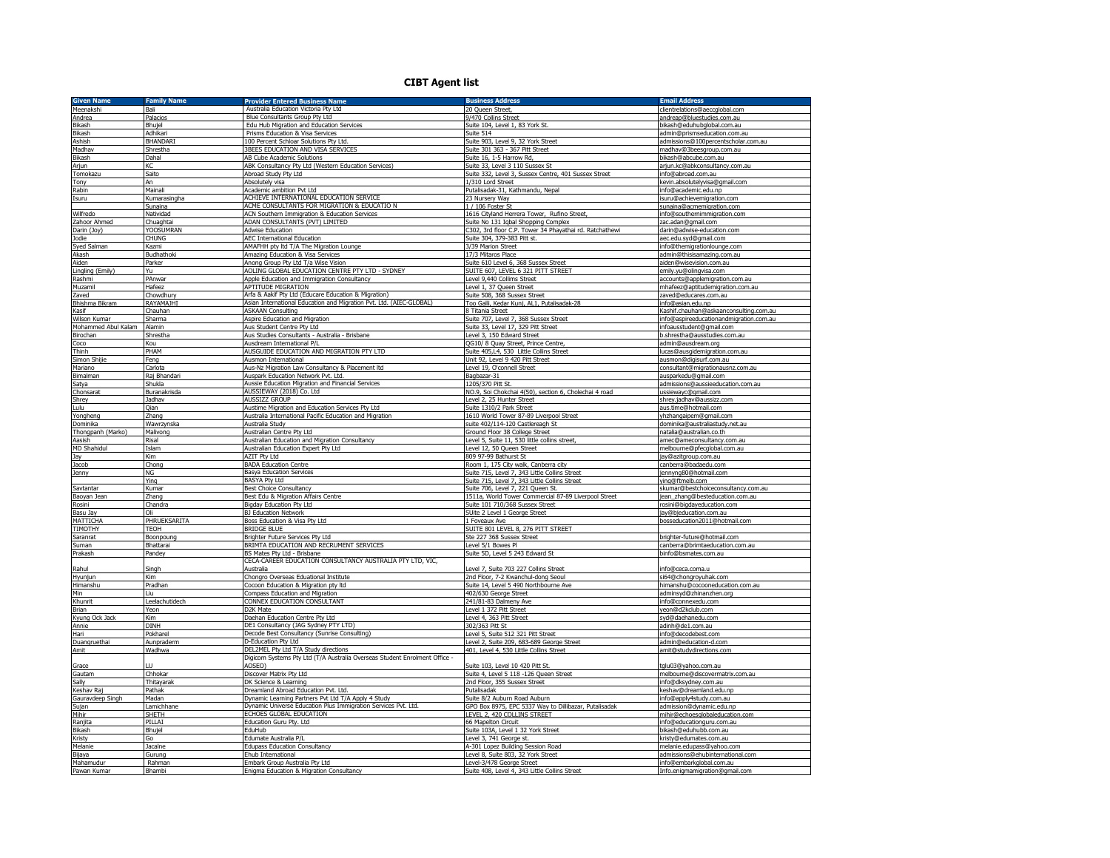## **CIBT Agent list**

| <b>Given Name</b>    | <b>Family Name</b> | <b>Provider Entered Business Name</b>                                      | <b>Business Address</b>                                                    | <b>Email Address</b>                                                                    |
|----------------------|--------------------|----------------------------------------------------------------------------|----------------------------------------------------------------------------|-----------------------------------------------------------------------------------------|
| Meenakshi            | Bali               | Australia Education Victoria Pty Ltd                                       | 20 Queen Street,                                                           | lientrelations@aeccqlobal.com                                                           |
| Andrea               | Palacios           | Blue Consultants Group Pty Ltd                                             | 9/470 Collins Street                                                       | andreap@bluestudies.com.au                                                              |
| Bikash               | Bhujel             | Edu Hub Migration and Education Services                                   | Suite 104, Level 1, 83 York St                                             | bikash@eduhubqlobal.com.au                                                              |
| Bikash               | Adhikari           | Prisms Education & Visa Services                                           | Suite 514                                                                  | admin@prismseducation.com.au                                                            |
| Ashish               | <b>BHANDARI</b>    | 100 Percent Schloar Solutions Pty Ltd.                                     | Suite 903, Level 9, 32 York Street                                         | admissions@100percentscholar.com.au                                                     |
| Madhav               | Shrestha           | 3BEES EDUCATION AND VISA SERVICES                                          | Suite 301 363 - 367 Pitt Street                                            | nadhav@3beesgroup.com.au                                                                |
| Bikash               | Dahal              | AB Cube Academic Solutions                                                 | Suite 16, 1-5 Harrow Rd.                                                   | bikash@ahcube.com.au                                                                    |
| Arjun                | КC                 | ABK Consultancy Pty Ltd (Western Education Services)                       | Suite 33, Level 3 110 Sussex St                                            | arjun.kc@abkconsultancy.com.au                                                          |
| Tomokazu             | Saito              | Abroad Study Pty Ltd                                                       | Suite 332, Level 3, Sussex Centre, 401 Sussex Street                       | info@abroad.com.au                                                                      |
| Tony                 | An                 | Absolutely visa                                                            | 1/310 Lord Street                                                          | kevin.absolutelyvisa@gmail.com                                                          |
| Rabin                | Mainali            | Academic ambition Pvt Ltd                                                  | Putalisadak-31, Kathmandu, Nepal                                           | info@academic.edu.np                                                                    |
| Isuru                | Kumarasingha       | ACHIEVE INTERNATIONAL EDUCATION SERVICE                                    | 23 Nursery Way                                                             | isuru@achievemigration.com                                                              |
|                      | Sunaina            | ACME CONSULTANTS FOR MIGRATION & EDUCATIO N                                | 1 / 106 Foster St                                                          | sunaina@acmemigration.com                                                               |
| Wilfredo             | Natividad          | ACN Southern Immigration & Education Services                              | 1616 Cityland Herrera Tower, Rufino Street,                                | info@southernimmigration.com                                                            |
| Zahoor Ahmed         | Chuaghta           | ADAN CONSULTANTS (PVT) LIMITED                                             | Suite No 131 Igbal Shopping Complex                                        | rac.adan@gmail.com                                                                      |
| Darin (Joy)          | YOOSUMRAN          | Adwise Education                                                           | C302, 3rd floor C.P. Tower 34 Phavathai rd. Ratchathewi                    | darin@adwise-education.com                                                              |
|                      | <b>CHUNG</b>       | <b>AEC International Education</b>                                         | Suite 304, 379-383 Pitt st.                                                |                                                                                         |
| Jodie<br>Syed Salman | Kazmi              | AMAFHH pty ltd T/A The Migration Lounge                                    | 3/39 Marion Street                                                         | aec.edu.syd@qmail.com                                                                   |
| Akash                |                    | Amazing Education & Visa Services                                          | 17/3 Mitaros Place                                                         | info@themigrationlounge.com                                                             |
|                      | Budhathoki         |                                                                            |                                                                            | admin@thisisamazing.com.au                                                              |
| Aiden                | Parker<br>Yu       | Anong Group Pty Ltd T/a Wise Vision                                        | Suite 610 Level 6, 368 Sussex Street                                       | aiden@wisevision.com.au                                                                 |
| Lingling (Emily)     |                    | AOLING GLOBAL EDUCATION CENTRE PTY LTD - SYDNEY                            | SUITE 607, LEVEL 6 321 PITT STREET                                         | emily.yu@olingvisa.com                                                                  |
| Rashmi               | PAnwar             | Apple Education and Immigration Consultancy                                | Level 9,440 Collims Street                                                 | accounts@applemigration.com.au                                                          |
| Muzamil              | Hafeez             | <b>APTITUDE MIGRATION</b>                                                  | Level 1, 37 Queen Street                                                   | mhafeez@aptitudemigration.com.au                                                        |
| Zaved                | Chowdhury          | Arfa & Aakif Pty Ltd (Educare Education & Migration)                       | Suite 508, 368 Sussex Street                                               | aved@educares.com.au                                                                    |
| Bhishma Bikram       | <b>RAYAMA1H1</b>   | Asian International Education and Migration Pvt. Ltd. (AIEC-GLOBAL)        | Too Galli, Kedar Kunj, AL1, Putalisadak-28                                 | info@asian.edu.np                                                                       |
| Kasif                | Chauhan            | <b>ASKAAN Consulting</b>                                                   | 8 Titania Street                                                           | <ashif.chauhan@askaanconsulting.com.au< td=""></ashif.chauhan@askaanconsulting.com.au<> |
| Wilson Kumar         | Sharma             | Aspire Education and Migration                                             | Suite 707, Level 7, 368 Sussex Street                                      | info@aspireeducationandmigration.com.au                                                 |
| Mohammed Abul Kalam  | Alamin             | Aus Student Centre Pty Ltd                                                 | Suite 33, Level 17, 329 Pitt Street                                        | nfoausstudent@gmail.com                                                                 |
| Birochan             | Shrestha           | Aus Studies Consultants - Australia - Brisbane                             | Level 3, 150 Edward Street                                                 | b.shrestha@ausstudies.com.au                                                            |
| Coco                 | Kou                | Ausdream International P/L                                                 | QG10/ 8 Quay Street, Prince Centre                                         | admin@ausdream.org                                                                      |
| Thinh                | PHAM               | AUSGUIDE EDUCATION AND MIGRATION PTY LTD                                   | Suite 405,L4, 530 Little Collins Street                                    | lucas@ausqidemigration.com.au                                                           |
| Simon Shijie         | Fena               | Ausmon International                                                       | Jnit 92, Level 9 420 Pitt Street                                           | ausmon@digisurf.com.au                                                                  |
| Mariano              | Carlota            | Aus-Nz Migration Law Consultancy & Placement Itd                           | Level 19, O'connell Street                                                 | consultant@migrationausnz.com.au                                                        |
| Bimalman             | Raj Bhandari       | Auspark Education Network Pvt. Ltd.                                        | Bagbazar-31                                                                | ausparkedu@gmail.com                                                                    |
| Satya                | Shukla             | Aussie Education Migration and Financial Services                          | 1205/370 Pitt St.                                                          | admissions@aussieeducation.com.au                                                       |
| Chonsarat            | Buranakrisda       | AUSSIEWAY (2018) Co. Ltd                                                   | NO.9, Soi Chokchai 4(50), section 6, Cholechai 4 road                      | ussiewayc@gmail.com                                                                     |
| Shrey                | Jadhav             | <b>AUSSIZZ GROUP</b>                                                       | evel 2, 25 Hunter Street                                                   | shrey.jadhav@aussizz.com                                                                |
| Lulu                 | Qian               | Austime Migration and Education Services Pty Ltd                           | Suite 1310/2 Park Street                                                   | aus.time@hotmail.com                                                                    |
| Yongheng             | Zhang              | Australia International Pacific Education and Migration                    | 1610 World Tower 87-89 Liverpool Street                                    | yhzhangaipem@gmail.com                                                                  |
| Dominika             | Wawrzynska         | Australia Study                                                            | suite 402/114-120 Castlereagh St                                           | dominika@australiastudy.net.au                                                          |
| Thongpanh (Marko)    | Malivong           | Australian Centre Pty Ltd                                                  | Ground Floor 38 College Street                                             | natalia@australian.co.th                                                                |
|                      | Risal              | <b>Australian Education and Migration Consultancy</b>                      |                                                                            |                                                                                         |
|                      |                    |                                                                            |                                                                            |                                                                                         |
| Aasish               |                    |                                                                            | evel 5, Suite 11, 530 little collins street                                | amec@ameconsultancy.com.au                                                              |
| <b>MD Shahidul</b>   | Islam              | Australian Education Expert Pty Ltd                                        | Level 12, 50 Queen Street                                                  | melbourne@pfecglobal.com.au                                                             |
| Jay                  | <b>Kim</b>         | AZIT Pty Ltd                                                               | 809 97-99 Bathurst St                                                      | jay@azitgroup.com.au                                                                    |
| Jacob                | Chong              | <b>BADA Education Centre</b>                                               | Room 1, 175 City walk, Canberra city                                       | canberra@badaedu.com                                                                    |
| Jenny                | <b>NG</b>          | <b>Basya Education Services</b>                                            | Suite 715, Level 7, 343 Little Collins Street                              | ennyng80@hotmail.com                                                                    |
|                      | Ying               | <b>BASYA Pty Ltd</b>                                                       | Suite 715, Level 7, 343 Little Collins Street                              | ing@ftmelb.com                                                                          |
| Savtantar            | Kumar              | <b>Best Choice Consultancy</b>                                             | Suite 706, Level 7, 221 Queen St.                                          | skumar@bestchoiceconsultancy.com.au                                                     |
| Baoyan Jean          | Zhang              | Best Edu & Migration Affairs Centre                                        | 1511a, World Tower Commercial 87-89 Liverpool Street                       | jean_zhang@besteducation.com.au                                                         |
| Rosini               | Chandra            | Bigday Education Pty Ltd                                                   | Suite 101 710/368 Sussex Street                                            | rosini@bigdayeducation.com                                                              |
| Basu Jay             | Oli                | <b>BJ Education Network</b>                                                | SUite 2 Level 1 George Street                                              | jay@bjeducation.com.au                                                                  |
| MATTICHA             | PHRUEKSARITA       | Boss Education & Visa Pty Ltd                                              | 1 Foveaux Ave                                                              | bosseducation2011@hotmail.com                                                           |
| TIMOTHY              | <b>TEOH</b>        | <b>BRIDGE BLUE</b>                                                         | SUITE 801 LEVEL 8, 276 PITT STREET                                         |                                                                                         |
| Saranrat             | Boonpoung          | Brighter Future Services Pty Ltd                                           | Ste 227 368 Sussex Street                                                  | brighter-future@hotmail.com                                                             |
| Suman                | Bhattarai          | BRIMTA EDUCATION AND RECRUMENT SERVICES                                    | evel 5/1 Bowes PI                                                          | canberra@brimtaeducation.com.au                                                         |
| Prakash              | Pandey             | BS Mates Pty Ltd - Brisbane                                                | Suite 5D, Level 5 243 Edward St                                            | binfo@bsmates.com.au                                                                    |
|                      |                    | CECA-CAREER EDUCATION CONSULTANCY AUSTRALIA PTY LTD, VIC,                  |                                                                            |                                                                                         |
| Rahul                | Singh              | Australia                                                                  | Level 7, Suite 703 227 Collins Street                                      | info@ceca.coma.u                                                                        |
| Hyunjun              | <b>Kim</b>         | Chongro Overseas Eduational Institute                                      | 2nd Floor, 7-2 Kwanchul-dong Seoul                                         | si64@chongroyuhak.com                                                                   |
| Himanshu             | Pradhan            | Cocoon Education & Migration pty Itd                                       | Suite 14, Level 5 490 Northbourne Ave                                      | nimanshu@cocooneducation.com.au                                                         |
| Min                  | Liu.               | Compass Education and Migration                                            | 402/630 George Street                                                      | adminsyd@zhinanzhen.org                                                                 |
| Khunrit              | Leelachutidech     | CONNEX EDUCATION CONSULTANT                                                | 241/81-83 Dalmeny Ave                                                      | info@connexedu.com                                                                      |
| Brian                | Yeon               | D2K Mate                                                                   | Level 1 372 Pitt Street                                                    | yeon@d2kclub.com                                                                        |
| Kyung Ock Jack       | Kim                | Daehan Education Centre Pty Ltd                                            | evel 4, 363 Pitt Street                                                    | syd@daehanedu.com                                                                       |
| Annie                | <b>DINH</b>        | DE1 Consultancy (JAG Sydney PTY LTD)                                       | 302/363 Pitt St                                                            | adinh@de1.com.au                                                                        |
| Hari                 | Pokharel           | Decode Best Consultancy (Sunrise Consulting)                               | Level 5, Suite 512 321 Pitt Street                                         | info@decodebest.com                                                                     |
| Duangruethai         | Aunpraderm         | D-Education Pty Ltd                                                        | Level 2, Suite 209, 683-689 George Street                                  | admin@education-d.com                                                                   |
| Amit                 | Wadhwa             | DEL2MEL Pty Ltd T/A Study directions                                       | 401, Level 4, 530 Little Collins Street                                    | amit@studydirections.com                                                                |
|                      |                    | Digicom Systems Pty Ltd (T/A Australia Overseas Student Enrolment Office - |                                                                            |                                                                                         |
| Grace                | ШL                 | AOSEO'                                                                     | Suite 103, Level 10 420 Pitt St                                            | tglu03@yahoo.com.au                                                                     |
| Gautam               | Chhokar            | Discover Matrix Pty Ltd                                                    | Suite 4, Level 5 118 -126 Queen Street                                     | melbourne@discovermatrix.com.au                                                         |
| Sally                | Thitayarak         | DK Science & Learning                                                      | 2nd Floor, 355 Sussex Street                                               | info@dksydney.com.au                                                                    |
| Keshav Raj           | Pathak             | Dreamland Abroad Education Pvt. Ltd.                                       | Putalisadak                                                                | keshav@dreamland.edu.np                                                                 |
| Gauravdeep Singh     | Madan              | Dynamic Learning Partners Pvt Ltd T/A Apply 4 Study                        | Suite 8/2 Auburn Road Auburn                                               | nfo@apply4study.com.au                                                                  |
| Sujan                | Lamichhane         | Dynamic Universe Education Plus Immigration Services Pvt. Ltd.             | GPO Box 8975, EPC 5337 Way to Dillibazar, Putalisadak                      | admission@dynamic.edu.np                                                                |
| Mihir                | SHETH              | ECHOES GLOBAL EDUCATION                                                    | LEVEL 2, 420 COLLINS STREET                                                | mihir@echoesglobaleducation.com                                                         |
|                      | PILLAI             | Education Guru Pty. Ltd                                                    |                                                                            |                                                                                         |
| Ranjita<br>Bikash    | Bhujel             | EduHub                                                                     | 66 Mapelton Circuit<br>Suite 103A, Level 1 32 York Street                  | info@educationguru.com.au<br>oikash@eduhubb.com.au                                      |
|                      | Go                 |                                                                            |                                                                            | kristy@edumates.com.au                                                                  |
| Kristy               | Jacalne            | Edumate Australia P/L                                                      | Level 3, 741 George st.<br>A-301 Lopez Building Session Road               |                                                                                         |
| Melanie              | Gurung             | <b>Edupass Education Consultancy</b><br>Ehub International                 | Level 8, Suite 803, 32 York Street                                         | melanie.edupass@yahoo.com<br>admissions@ehubinternational.com                           |
| Bijaya<br>Mahamudur  | Rahmar             | Embark Group Australia Pty Ltd                                             |                                                                            | info@embarkglobal.com.au                                                                |
| Pawan Kumar          | Bhambi             | Enigma Education & Migration Consultancy                                   | Level-3/478 George Street<br>Suite 408, Level 4, 343 Little Collins Street | Info.enigmamigration@gmail.com                                                          |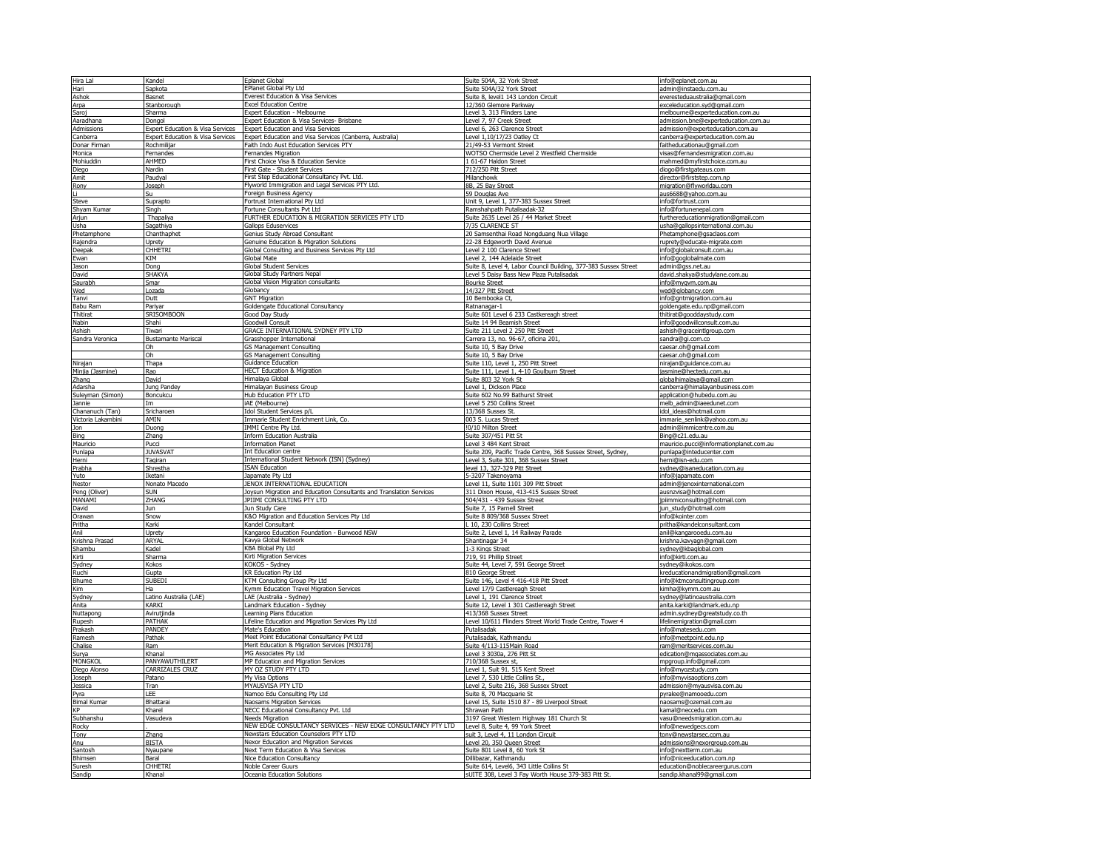| Hira Lal                | Kandel                                      | <b>Eplanet Global</b>                                                                                | Suite 504A, 32 York Street                                                                      | nfo@eplanet.com.au                                          |
|-------------------------|---------------------------------------------|------------------------------------------------------------------------------------------------------|-------------------------------------------------------------------------------------------------|-------------------------------------------------------------|
| Hari                    | Sapkota                                     | <b>EPlanet Global Pty Ltd</b>                                                                        | Suite 504A/32 York Street                                                                       | admin@instaedu.com.au                                       |
| Ashok                   | Basnet                                      | Everest Education & Visa Services                                                                    | Suite 8, level1 143 London Circuit                                                              | everesteduaustralia@gmail.com                               |
| Arpa                    | Stanborough                                 | <b>Excel Education Centre</b>                                                                        | 12/360 Glemore Parkway                                                                          | exceleducation.syd@gmail.com                                |
| Saroi                   | Sharma                                      | Expert Education - Melbourne                                                                         | Level 3, 313 Flinders Lane                                                                      | melbourne@experteducation.com.au                            |
| Aaradhana               | Donaol                                      | Expert Education & Visa Services- Brisbane                                                           | Level 7, 97 Creek Street                                                                        | admission.bne@experteducation.com.au                        |
| Admissions              | <b>Expert Education &amp; Visa Services</b> | <b>Expert Education and Visa Services</b>                                                            | Level 6, 263 Clarence Street                                                                    | admission@experteducation.com.au                            |
| Canberra                | <b>Expert Education &amp; Visa Services</b> | Expert Education and Visa Services (Canberra, Australia)                                             | Level 1.10/17/23 Oatley Ct                                                                      | canberra@experteducation.com.au                             |
| Donar Firman            | Rochmilijar                                 | Faith Indo Aust Education Services PTY                                                               | 21/49-53 Vermont Street                                                                         | faitheducationau@gmail.com                                  |
| Monica                  | Fernandes                                   | Fernandes Migration                                                                                  | WOTSO Chermside Level 2 Westfield Chermside                                                     | visas@fernandesmigration.com.au                             |
| Mohiuddin               | <b>AHMED</b>                                | First Choice Visa & Education Service                                                                | 1 61-67 Haldon Stree                                                                            | mahmed@myfirstchoice.com.au                                 |
| Diego                   | Nardin                                      | First Gate - Student Services                                                                        | 712/250 Pitt Street                                                                             | diogo@firstgateaus.com                                      |
| Amit                    | Paudval                                     | First Step Educational Consultancy Pvt. Ltd.                                                         | Milanchowk                                                                                      | director@firststep.com.np                                   |
| Rony                    | Joseph                                      | Flyworld Immigration and Legal Services PTY Ltd.                                                     | 8B, 25 Bay Street                                                                               | migration@flyworldau.com                                    |
| H.                      | Su                                          | Foreign Business Agency                                                                              | 59 Douglas Ave                                                                                  | aus6688@yahoo.com.au                                        |
| Steve                   | Suprapto                                    | Fortrust International Pty Ltd                                                                       | Unit 9, Level 1, 377-383 Sussex Street                                                          | info@fortrust.com                                           |
| Shyam Kumar             | Sinah                                       | Fortune Consultants Pvt Ltd                                                                          | Ramshahpath Putalisadak-32                                                                      | nfo@fortunenepal.com                                        |
| Arjun                   | Thapaliya                                   | FURTHER EDUCATION & MIGRATION SERVICES PTY LTD                                                       | Suite 2635 Level 26 / 44 Market Street                                                          | furthereducationmigration@gmail.com                         |
| Usha                    | Sagathiya                                   | Gallops Eduservices                                                                                  | 7/35 CLARENCE ST                                                                                | usha@gallopsinternational.com.au                            |
| Phetamphone             | Chanthaphet                                 | Genius Study Abroad Consultant                                                                       | 20 Samsenthai Road Nongduang Nua Village                                                        | Phetamphone@gsaclaos.com                                    |
| Rajendra                | Jorety                                      | Genuine Education & Migration Solutions                                                              | 22-28 Edgeworth David Avenue                                                                    | ruprety@educate-migrate.com                                 |
| Deepak                  | <b>CHHFTRI</b>                              | Global Consulting and Business Services Pty Ltd                                                      | Level 2 100 Clarence Street                                                                     | info@qlobalconsult.com.au                                   |
| Ewan                    | KIM                                         | <b>Global Mate</b>                                                                                   | Level 2, 144 Adelaide Street                                                                    | info@goglobalmate.com                                       |
| Jason                   | Dona                                        | <b>Global Student Services</b>                                                                       | Suite 8, Level 4, Labor Council Building, 377-383 Sussex Street                                 | admin@ass.net.au                                            |
| David                   | <b>SHAKYA</b>                               | Global Study Partners Nepa                                                                           | Level 5 Daisy Bass New Plaza Putalisadak                                                        | david.shakya@studylane.com.au                               |
| Saurabh                 | Smar                                        | Global Vision Migration consultants                                                                  | <b>Bourke Street</b>                                                                            | info@mygvm.com.au                                           |
| Wed                     | Lozada                                      | Globancy                                                                                             | 14/327 Pitt Street                                                                              | wed@qlobancy.com                                            |
| Tanvi                   | Dutt                                        | <b>GNT Migration</b>                                                                                 | 10 Bembooka Ct,                                                                                 | info@gntmigration.com.au                                    |
| <b>Babu Ram</b>         | Pariyar                                     | Goldengate Educational Consultancy                                                                   | Ratnanagar-1                                                                                    | goldengate.edu.np@gmail.com                                 |
| Thitirat                | SRISOMBOON                                  | Good Day Study                                                                                       | Suite 601 Level 6 233 Castkereagh street                                                        | thitirat@gooddaystudy.com                                   |
| Nabin                   | Shahi                                       | Goodwill Consult                                                                                     | Suite 14 94 Beamish Street                                                                      | nfo@qoodwillconsult.com.au                                  |
| Ashish                  | Tiwari                                      | GRACE INTERNATIONAL SYDNEY PTY LTD                                                                   | Suite 211 Level 2 250 Pitt Street                                                               | ashish@graceintlgroup.com                                   |
| Sandra Veronica         | <b>Bustamante Mariscal</b>                  | Grasshopper International                                                                            | Carrera 13, no. 96-67, oficina 201                                                              | sandra@gi.com.co                                            |
|                         | Oh                                          | <b>GS Management Consulting</b>                                                                      | Suite 10, 5 Bay Drive                                                                           | caesar.oh@gmail.com                                         |
|                         | Oh                                          | <b>3S Management Consulting</b>                                                                      | Suite 10, 5 Bay Drive                                                                           | caesar.oh@qmail.com                                         |
| Nirajan                 | Thapa                                       | <b>Guidance Education</b>                                                                            | Suite 110, Level 1, 250 Pitt Street                                                             | nirajan@quidance.com.au                                     |
| Minjia (Jasmine)        | Rao                                         | <b>HECT Education &amp; Migration</b>                                                                | Suite 111, Level 1, 4-10 Goulburn Street                                                        | jasmine@hectedu.com.au                                      |
| Zhang                   | David                                       | Himalava Global                                                                                      | Suite 803 32 York St                                                                            | qlobalhimalaya@qmail.com                                    |
| Adarsha                 | Jung Pande                                  | Himalayan Business Group                                                                             | Level 1, Dickson Place                                                                          | canberra@himalayanbusiness.com                              |
| Suleyman (Simon)        | Boncukcu                                    | Hub Education PTY LTD                                                                                | Suite 602 No.99 Bathurst Street                                                                 | application@hubedu.com.au                                   |
| Jannie                  | Im                                          | iAE (Melbourne)                                                                                      | Level 5 250 Collins Street                                                                      | melb admin@iaeedunet.com                                    |
| Chananuch (Tan)         | Sricharoen                                  | Idol Student Services p/L                                                                            | 13/368 Sussex St.                                                                               | idol_ideas@hotmail.com                                      |
| Victoria Lakambini      | AMIN                                        | Immarie Student Enrichment Link, Co.                                                                 | 003 S. Lucas Street                                                                             | immarie senlink@yahoo.com.au                                |
| <b>Jon</b>              | Duong                                       | IMMI Centre Pty Ltd.                                                                                 | !0/10 Milton Street                                                                             | admin@immicentre.com.au                                     |
| Bing                    | Zhang                                       | <b>Inform Education Australia</b>                                                                    | Suite 307/451 Pitt St                                                                           | Bina@c21.edu.au                                             |
| Mauricio                | Pucci                                       | <b>Information Planet</b>                                                                            | Level 3 484 Kent Street                                                                         | mauricio.pucci@informationplanet.com.au                     |
| Punlapa                 | <b>JUVASVA</b>                              | Int Education centre                                                                                 | Suite 209, Pacific Trade Centre, 368 Sussex Street, Sydney                                      | punlapa@inteducenter.com                                    |
| Herni                   | Tagiran                                     | International Student Network (ISN) (Sydney)                                                         | Level 3, Suite 301, 368 Sussex Street                                                           | herni@isn-edu.com                                           |
| Prabha                  | Shrestha                                    | <b>ISAN Education</b><br>Japamate Pty Ltd                                                            | level 13, 327-329 Pitt Street                                                                   | sydney@isaneducation.com.au                                 |
| Yuto                    | Iketani                                     |                                                                                                      | 5-3207 Takenoyama                                                                               | info@japamate.com                                           |
| Nestor                  | Nonato Macedo<br><b>SUN</b>                 | JENOX INTERNATIONAL EDUCATION<br>Joysun Migration and Education Consultants and Translation Services | Level 11, Suite 1101 309 Pitt Street                                                            | admin@jenoxinternational.com                                |
| Peng (Oliver)<br>MANAMI |                                             |                                                                                                      | 311 Dixon House, 413-415 Sussex Street                                                          | ausnzvisa@hotmail.com                                       |
| David                   | ZHANG<br>Jun                                | JPIIMI CONSULTING PTY LTD<br>Jun Study Care                                                          | 504/431 - 439 Sussex Street<br>Suite 7, 15 Parnell Street                                       | jpiimmiconsulting@hotmail.com                               |
|                         |                                             | K&O Migration and Education Services Pty Ltd                                                         |                                                                                                 | jun_study@hotmail.com                                       |
| Orawan<br>Pritha        | Snow<br>Karki                               | Kandel Consultant                                                                                    | Suite 8 809/368 Sussex Street<br>10, 230 Collins Street                                         | info@kointer.com<br>pritha@kandelconsultant.com             |
| Anil                    | Uprety                                      | Kangaroo Education Foundation - Burwood NSW                                                          | Suite 2, Level 1, 14 Railway Parade                                                             |                                                             |
| Krishna Prasad          | ARYAI                                       | Kavya Global Network                                                                                 |                                                                                                 |                                                             |
| Shambu                  |                                             |                                                                                                      |                                                                                                 | anil@kangarooedu.com.au                                     |
| Kirti                   |                                             |                                                                                                      | Shantinagar 34                                                                                  | krishna.kavyaqn@qmail.com                                   |
|                         | Kadel                                       | KBA Blohal Ptv I td                                                                                  | -3 Kings Street                                                                                 | sydney@kbaqlobal.com                                        |
|                         | Sharma                                      | Kirti Migration Services                                                                             | 719, 91 Phillip Street                                                                          | info@kirti.com.au                                           |
| Sydney                  | Kokos                                       | KOKOS - Sydney                                                                                       | Suite 44, Level 7, 591 George Street                                                            | sydney@ikokos.com                                           |
| Ruchi                   | Gupta                                       | KR Education Pty Ltd                                                                                 | 810 George Street                                                                               | kreducationandmigration@gmail.com                           |
| Bhume                   | <b>SUBEDI</b><br>Ha                         | <b>CTM Consulting Group Pty Ltd</b>                                                                  | Suite 146, Level 4 416-418 Pitt Street                                                          | info@ktmconsultingroup.com                                  |
| Kim                     |                                             | Kymm Education Travel Migration Services                                                             | Level 17/9 Castlereagh Street                                                                   | kimha@kymm.com.au                                           |
| Sydney                  | Latino Australia (LAE)<br>KARKT             | LAE (Australia - Sydney)                                                                             | Level 1, 191 Clarence Street                                                                    | sydney@latinoaustralia.com                                  |
| Anita                   |                                             | Landmark Education - Sydney                                                                          | Suite 12, Level 1 301 Castlereagh Street                                                        | anita.karki@landmark.edu.np                                 |
| Nuttapong<br>Rupesh     | Avirutjinda<br>PATHAK                       | Learning Plans Education                                                                             | 413/368 Sussex Street<br>Level 10/611 Flinders Street World Trade Centre, Tower 4               | admin.sydney@greatstudy.co.th                               |
|                         |                                             | Lifeline Education and Migration Services Pty Ltd                                                    | Putalisadak                                                                                     | lifelinemigration@gmail.com                                 |
| Prakash                 | PANDEY                                      | Mate's Education                                                                                     |                                                                                                 | info@matesedu.com                                           |
| Ramesh                  | Pathak                                      | Meet Point Educational Consultancy Pvt Ltd<br>Merit Education & Migration Services [M30178]          | Putalisadak, Kathmandu                                                                          | info@meetpoint.edu.np                                       |
| Chalise<br>Surya        | Ram<br>Khanal                               | MG Associates Pty Ltd                                                                                | Suite 4/113-115Main Road<br>Level 3 3030a, 276 Pitt St                                          | ram@meritservices.com.au<br>edication@mgassociates.com.au   |
| <b>MONGKOL</b>          | PANYAWUTHILERT                              |                                                                                                      | 710/368 Sussex st.                                                                              |                                                             |
| Diego Alonso            | <b>CARRIZALES CRUZ</b>                      | MP Education and Migration Services<br>MY OZ STUDY PTY LTD                                           | Level 1, Suit 91. 515 Kent Street                                                               | mpgroup.info@gmail.com<br>nfo@myozstudy.com                 |
|                         | Patano                                      | My Visa Options                                                                                      | Level 7, 530 Little Collins St.                                                                 |                                                             |
| Joseph<br>Jessica       | Tran                                        | MYAUSVISA PTY LTD                                                                                    | Level 2, Suite 216, 368 Sussex Street                                                           | info@myvisaoptions.com<br>admission@myausvisa.com.au        |
| Pvra                    | <b>IFF</b>                                  | Namoo Edu Consulting Pty Ltd                                                                         | Suite 8, 70 Macquarie St                                                                        | pyralee@namooedu.com                                        |
| <b>Bimal Kumar</b>      | Bhattarai                                   | Naosams Migration Services                                                                           | Level 15, Suite 1510 87 - 89 Liverpool Street                                                   | naosams@ozemail.com.au                                      |
|                         | Kharel                                      | NECC Educational Consultancy Pvt. Ltd                                                                | Shrawan Path                                                                                    | kamal@neccedu.com                                           |
| Subhanshu               | Vasudeva                                    | <b>Needs Migration</b>                                                                               | 3197 Great Western Highway 181 Church St                                                        | vasu@needsmigration.com.au                                  |
| Rocky                   |                                             | NEW EDGE CONSULTANCY SERVICES - NEW EDGE CONSULTANCY PTY LTD                                         | Level 8, Suite 4, 99 York Street                                                                | info@newedgecs.com                                          |
|                         | Zhang                                       | Newstars Education Counselors PTY LTD                                                                | suit 3, Level 4, 11 London Circuit                                                              | tony@newstarsec.com.au                                      |
| Tony<br>Anu             | <b>BISTA</b>                                | Nexor Education and Migration Services                                                               | Level 20, 350 Queen Street                                                                      | admissions@nexorgroup.com.au                                |
| Santosh                 | Nyaupane                                    | Next Term Education & Visa Services                                                                  | Suite 801 Level 8, 60 York St                                                                   | info@nextterm.com.au                                        |
| Bhimsen                 | Baral                                       | Nice Education Consultancy                                                                           | Dillibazar, Kathmandu                                                                           | info@niceeducation.com.np                                   |
| Suresh<br>Sandip        | <b>CHHETR</b><br>Khanal                     | Noble Career Guurs<br>Oceania Education Solutions                                                    | Suite 614, Level6, 343 Little Collins St<br>sUITE 308, Level 3 Fay Worth House 379-383 Pitt St. | education@noblecareergurus.com<br>sandip.khanal99@gmail.com |